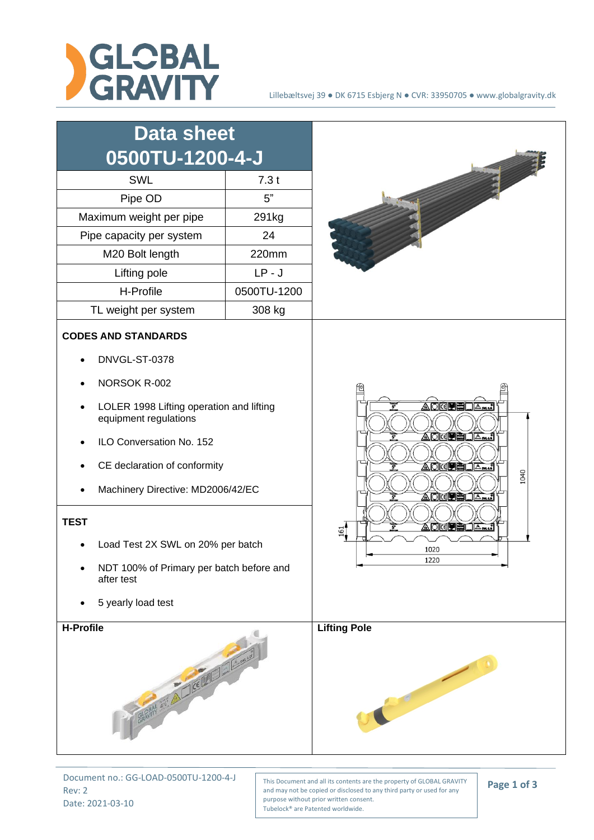

| <b>Data sheet</b><br>0500TU-1200-4-J                                                                                                                                                                                                                                                                                   |             |                                                                                                                                                                        |
|------------------------------------------------------------------------------------------------------------------------------------------------------------------------------------------------------------------------------------------------------------------------------------------------------------------------|-------------|------------------------------------------------------------------------------------------------------------------------------------------------------------------------|
| SWL                                                                                                                                                                                                                                                                                                                    | 7.3t        |                                                                                                                                                                        |
| Pipe OD                                                                                                                                                                                                                                                                                                                | 5"          |                                                                                                                                                                        |
| Maximum weight per pipe                                                                                                                                                                                                                                                                                                | 291kg       |                                                                                                                                                                        |
| Pipe capacity per system                                                                                                                                                                                                                                                                                               | 24          |                                                                                                                                                                        |
| M20 Bolt length                                                                                                                                                                                                                                                                                                        | 220mm       |                                                                                                                                                                        |
| Lifting pole                                                                                                                                                                                                                                                                                                           | $LP - J$    |                                                                                                                                                                        |
| H-Profile                                                                                                                                                                                                                                                                                                              | 0500TU-1200 |                                                                                                                                                                        |
| TL weight per system                                                                                                                                                                                                                                                                                                   | 308 kg      |                                                                                                                                                                        |
| <b>CODES AND STANDARDS</b><br>DNVGL-ST-0378                                                                                                                                                                                                                                                                            |             |                                                                                                                                                                        |
| NORSOK R-002<br>LOLER 1998 Lifting operation and lifting<br>equipment regulations<br>ILO Conversation No. 152<br>CE declaration of conformity<br>Machinery Directive: MD2006/42/EC<br><b>TEST</b><br>Load Test 2X SWL on 20% per batch<br>NDT 100% of Primary per batch before and<br>after test<br>5 yearly load test |             | <u> AORPELA…:</u><br>$\vec{r}$<br>AOGPEI<br>่∣∆‱แล้<br>AOKPELA<br>1040<br><u>Addeel</u><br>_ ∆ี <del>๛</del><br>AOKU ELA<br>161<br>1020<br>1220<br><b>Lifting Pole</b> |
| <b>H-Profile</b><br>GRAPH ANT A LICENSE IN COLUMN                                                                                                                                                                                                                                                                      |             |                                                                                                                                                                        |

Document no.: GG-LOAD-0500TU-1200-4-J Rev: 2 Date: 2021-03-10

This Document and all its contents are the property of GLOBAL GRAVITY and may not be copied or disclosed to any third party or used for any purpose without prior written consent. Tubelock® are Patented worldwide.

**Page 1 of 3**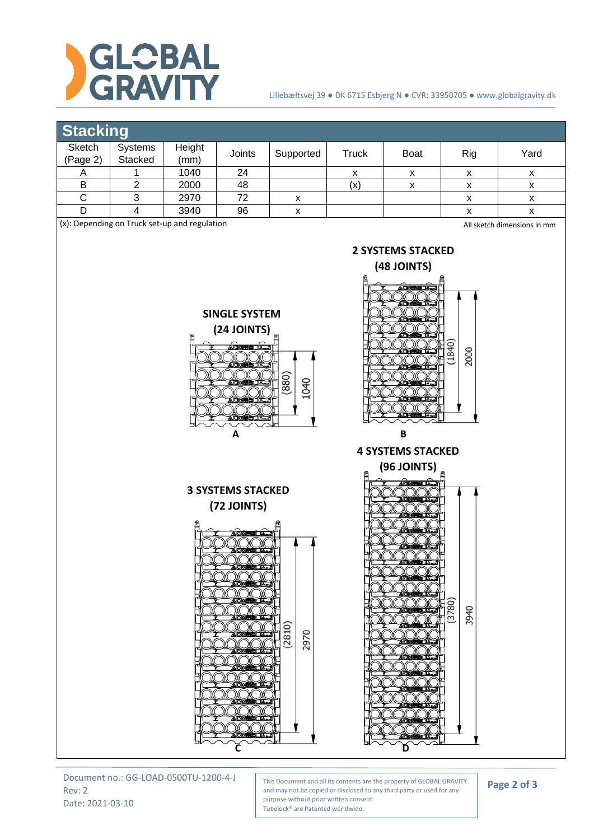

## Lillebæltsvej 39 ● DK 6715 Esbjerg N ● CVR: 33950705 ● www.globalgravity.dk

## **Stacking**

| __________                                                                   |                    |                |        |           |       |             |     |      |
|------------------------------------------------------------------------------|--------------------|----------------|--------|-----------|-------|-------------|-----|------|
| Sketch<br>(Page 2)                                                           | Systems<br>Stacked | Height<br>(mm) | Joints | Supported | Truck | <b>Boat</b> | Rig | Yard |
| <u>n</u>                                                                     |                    | 1040           | 24     |           | х     | х           |     |      |
|                                                                              |                    | 2000           | 48     |           | (x)   | х           |     |      |
|                                                                              |                    | 2970           | 72     | ́         |       |             |     |      |
|                                                                              |                    | 3940           | 96     |           |       |             |     |      |
| (x): Depending on Truck set-up and regulation<br>All sketch dimensions in mm |                    |                |        |           |       |             |     |      |

**2 SYSTEMS STACKED (48 JOINTS)**

**SINGLE SYSTEM**





**A B** 



Document no.: GG-LOAD-0500TU-1200-4-J Rev: 2 Date: 2021-03-10

This Document and all its contents are the property of GLOBAL GRAVITY and may not be copied or disclosed to any third party or used for any purpose without prior written consent. Tubelock® are Patented worldwide.